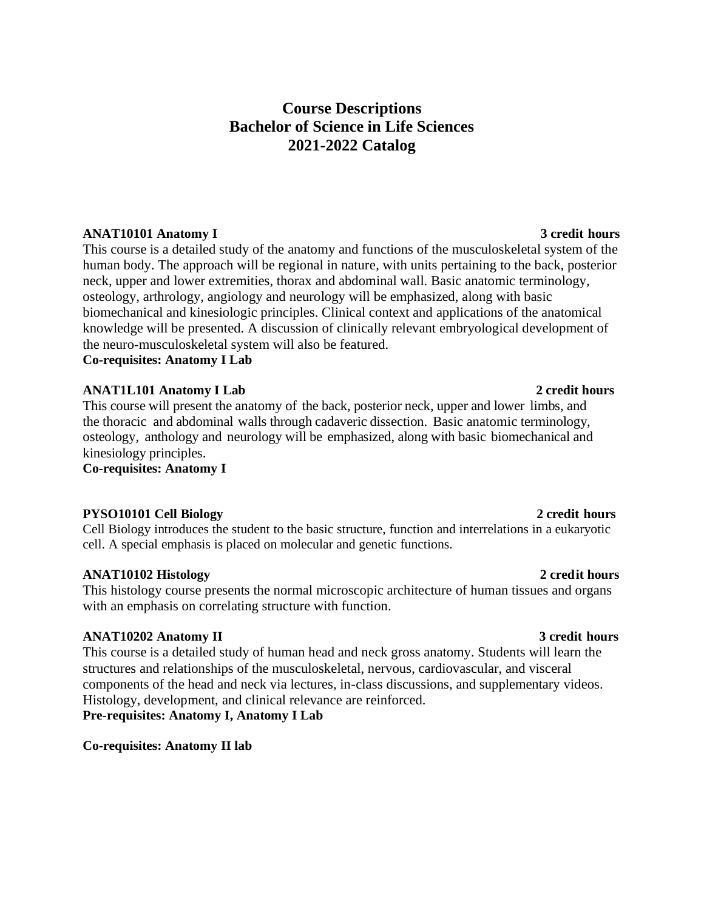# **Course Descriptions Bachelor of Science in Life Sciences 2021-2022 Catalog**

## **ANAT10101 Anatomy I** 3 credit hours

This course is a detailed study of the anatomy and functions of the musculoskeletal system of the human body. The approach will be regional in nature, with units pertaining to the back, posterior neck, upper and lower extremities, thorax and abdominal wall. Basic anatomic terminology, osteology, arthrology, angiology and neurology will be emphasized, along with basic biomechanical and kinesiologic principles. Clinical context and applications of the anatomical knowledge will be presented. A discussion of clinically relevant embryological development of the neuro-musculoskeletal system will also be featured.

**Co-requisites: Anatomy I Lab**

## **ANAT1L101 Anatomy I Lab** 2 credit hours

This course will present the anatomy of the back, posterior neck, upper and lower limbs, and the thoracic and abdominal walls through cadaveric dissection. Basic anatomic terminology, osteology, anthology and neurology will be emphasized, along with basic biomechanical and kinesiology principles.

**Co-requisites: Anatomy I**

## **PYSO10101 Cell Biology 2 credit hours**

Cell Biology introduces the student to the basic structure, function and interrelations in a eukaryotic cell. A special emphasis is placed on molecular and genetic functions.

## **ANAT10102 Histology 2 credit hours**

This histology course presents the normal microscopic architecture of human tissues and organs with an emphasis on correlating structure with function.

## **ANAT10202 Anatomy II** 3 credit hours

This course is a detailed study of human head and neck gross anatomy. Students will learn the structures and relationships of the musculoskeletal, nervous, cardiovascular, and visceral components of the head and neck via lectures, in-class discussions, and supplementary videos. Histology, development, and clinical relevance are reinforced. **Pre-requisites: Anatomy I, Anatomy I Lab**

**Co-requisites: Anatomy II lab**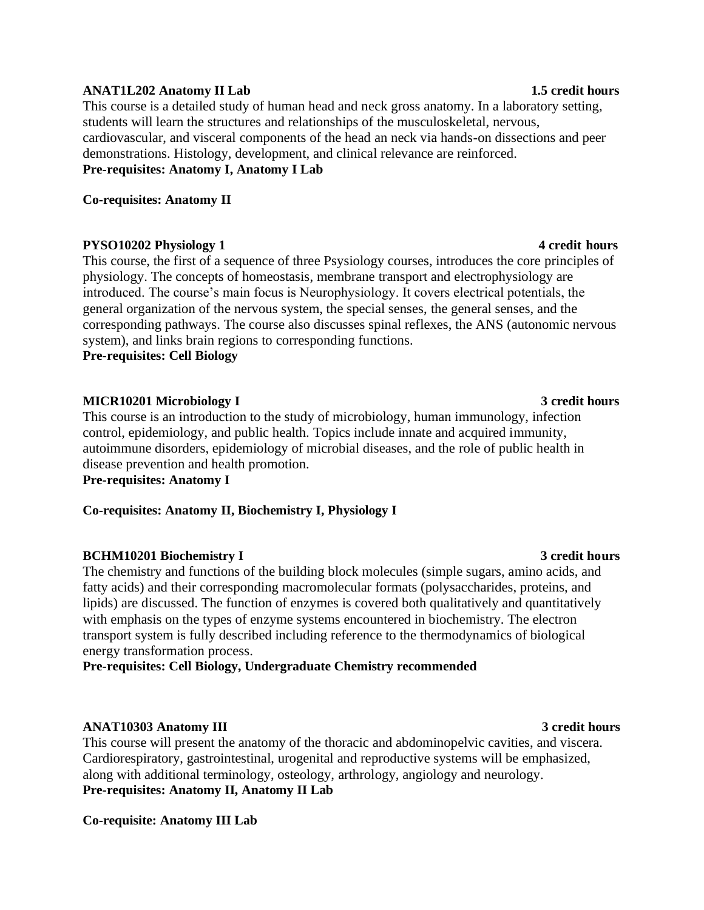## **ANAT1L202 Anatomy II Lab** 1.5 credit hours

This course is a detailed study of human head and neck gross anatomy. In a laboratory setting, students will learn the structures and relationships of the musculoskeletal, nervous, cardiovascular, and visceral components of the head an neck via hands-on dissections and peer demonstrations. Histology, development, and clinical relevance are reinforced. **Pre-requisites: Anatomy I, Anatomy I Lab**

## **Co-requisites: Anatomy II**

## **PYSO10202 Physiology 1** 4 credit **hours**

This course, the first of a sequence of three Psysiology courses, introduces the core principles of physiology. The concepts of homeostasis, membrane transport and electrophysiology are introduced. The course's main focus is Neurophysiology. It covers electrical potentials, the general organization of the nervous system, the special senses, the general senses, and the corresponding pathways. The course also discusses spinal reflexes, the ANS (autonomic nervous system), and links brain regions to corresponding functions.

**Pre-requisites: Cell Biology**

## **MICR10201 Microbiology I 3 credit hours**

This course is an introduction to the study of microbiology, human immunology, infection control, epidemiology, and public health. Topics include innate and acquired immunity, autoimmune disorders, epidemiology of microbial diseases, and the role of public health in disease prevention and health promotion.

**Pre-requisites: Anatomy I**

**Co-requisites: Anatomy II, Biochemistry I, Physiology I**

## **BCHM10201 Biochemistry I** 3 credit hours

The chemistry and functions of the building block molecules (simple sugars, amino acids, and fatty acids) and their corresponding macromolecular formats (polysaccharides, proteins, and lipids) are discussed. The function of enzymes is covered both qualitatively and quantitatively with emphasis on the types of enzyme systems encountered in biochemistry. The electron transport system is fully described including reference to the thermodynamics of biological energy transformation process.

**Pre-requisites: Cell Biology, Undergraduate Chemistry recommended**

## **ANAT10303 Anatomy III** 3 credit hours

This course will present the anatomy of the thoracic and abdominopelvic cavities, and viscera. Cardiorespiratory, gastrointestinal, urogenital and reproductive systems will be emphasized, along with additional terminology, osteology, arthrology, angiology and neurology. **Pre-requisites: Anatomy II, Anatomy II Lab**

**Co-requisite: Anatomy III Lab**